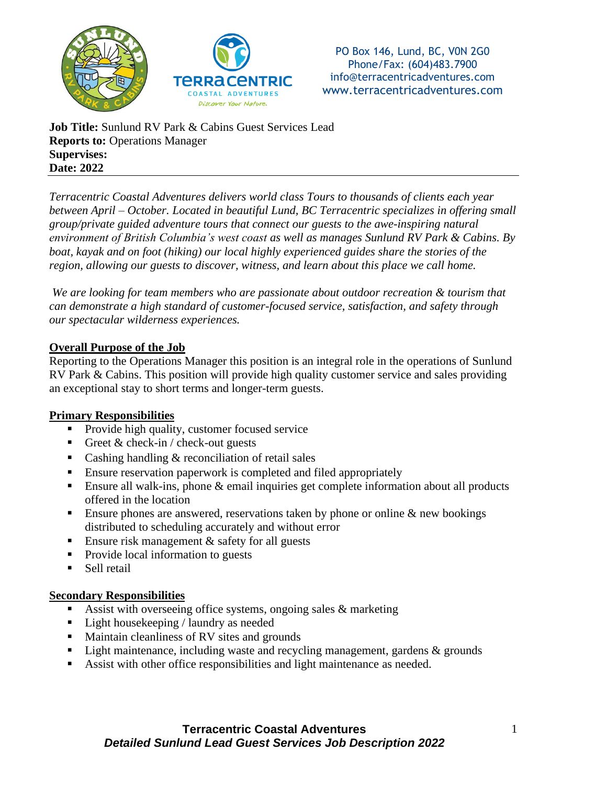



**Job Title:** Sunlund RV Park & Cabins Guest Services Lead **Reports to:** Operations Manager **Supervises: Date: 2022**

*Terracentric Coastal Adventures delivers world class Tours to thousands of clients each year between April – October. Located in beautiful Lund, BC Terracentric specializes in offering small group/private guided adventure tours that connect our guests to the awe-inspiring natural environment of British Columbia's west coast as well as manages Sunlund RV Park & Cabins. By boat, kayak and on foot (hiking) our local highly experienced guides share the stories of the region, allowing our guests to discover, witness, and learn about this place we call home.*

*We are looking for team members who are passionate about outdoor recreation & tourism that can demonstrate a high standard of customer-focused service, satisfaction, and safety through our spectacular wilderness experiences.*

### **Overall Purpose of the Job**

Reporting to the Operations Manager this position is an integral role in the operations of Sunlund RV Park & Cabins. This position will provide high quality customer service and sales providing an exceptional stay to short terms and longer-term guests.

#### **Primary Responsibilities**

- **•** Provide high quality, customer focused service
- **•** Greet  $\&$  check-in / check-out guests
- Cashing handling  $&$  reconciliation of retail sales
- Ensure reservation paperwork is completed and filed appropriately
- **Ensure all walk-ins, phone**  $\&$  **email inquiries get complete information about all products** offered in the location
- **Ensure phones are answered, reservations taken by phone or online & new bookings** distributed to scheduling accurately and without error
- **Ensure risk management**  $\&$  **safety for all guests**
- Provide local information to guests
- Sell retail

#### **Secondary Responsibilities**

- Assist with overseeing office systems, ongoing sales  $\&$  marketing
- Light housekeeping / laundry as needed
- Maintain cleanliness of RV sites and grounds
- **Example 1** Light maintenance, including waste and recycling management, gardens  $\&$  grounds
- Assist with other office responsibilities and light maintenance as needed.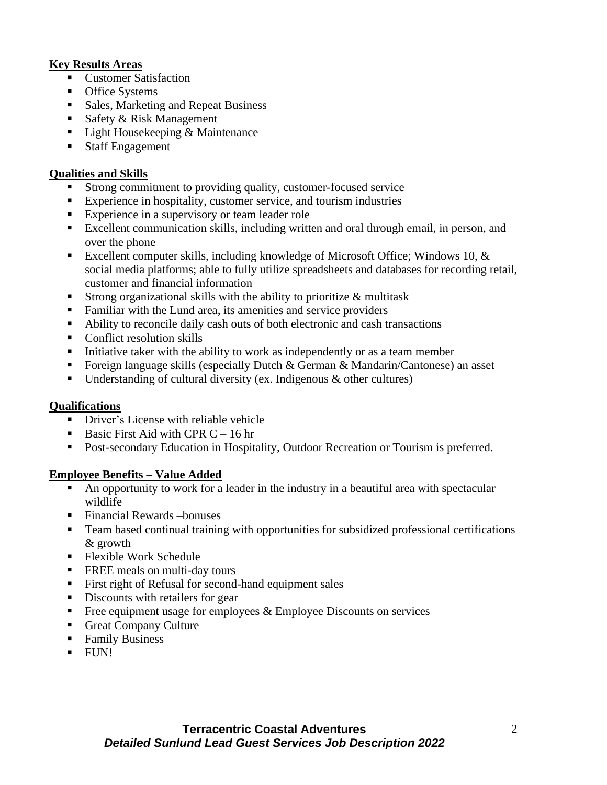# **Key Results Areas**

- Customer Satisfaction
- Office Systems
- Sales, Marketing and Repeat Business
- Safety & Risk Management
- Light Housekeeping & Maintenance
- Staff Engagement

## **Qualities and Skills**

- Strong commitment to providing quality, customer-focused service
- Experience in hospitality, customer service, and tourism industries
- **Experience in a supervisory or team leader role**
- Excellent communication skills, including written and oral through email, in person, and over the phone
- Excellent computer skills, including knowledge of Microsoft Office; Windows 10,  $\&$ social media platforms; able to fully utilize spreadsheets and databases for recording retail, customer and financial information
- **Example 1** Strong organizational skills with the ability to prioritize  $\&$  multitask
- Familiar with the Lund area, its amenities and service providers
- Ability to reconcile daily cash outs of both electronic and cash transactions
- Conflict resolution skills
- **EXECUTE:** Initiative taker with the ability to work as independently or as a team member
- **•** Foreign language skills (especially Dutch  $\&$  German  $\&$  Mandarin/Cantonese) an asset
- **•** Understanding of cultural diversity (ex. Indigenous  $\&$  other cultures)

# **Qualifications**

- Driver's License with reliable vehicle
- **•** Basic First Aid with CPR  $C 16$  hr
- Post-secondary Education in Hospitality, Outdoor Recreation or Tourism is preferred.

# **Employee Benefits – Value Added**

- An opportunity to work for a leader in the industry in a beautiful area with spectacular wildlife
- Financial Rewards bonuses
- Team based continual training with opportunities for subsidized professional certifications & growth
- Flexible Work Schedule
- FREE meals on multi-day tours
- **Example 1** First right of Refusal for second-hand equipment sales
- Discounts with retailers for gear
- $\blacksquare$  Free equipment usage for employees & Employee Discounts on services
- Great Company Culture
- Family Business
- $\blacksquare$  FUN!